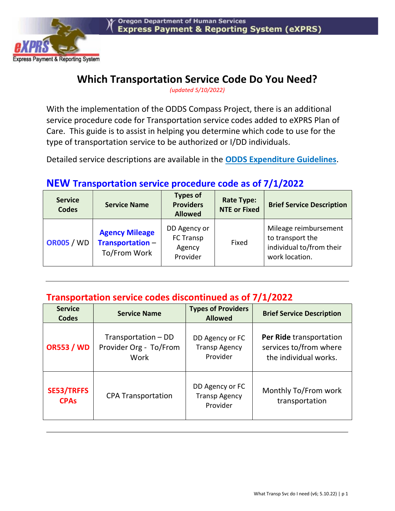

## Which Transportation Service Code Do You Need?

(updated 5/10/2022)

With the implementation of the ODDS Compass Project, there is an additional service procedure code for Transportation service codes added to eXPRS Plan of Care. This guide is to assist in helping you determine which code to use for the type of transportation service to be authorized or I/DD individuals.

Detailed service descriptions are available in the ODDS Expenditure Guidelines.

## NEW Transportation service procedure code as of 7/1/2022

| <b>Service</b><br><b>Codes</b> | <b>Service Name</b>                                      | <b>Types of</b><br><b>Providers</b><br><b>Allowed</b> | <b>Rate Type:</b><br><b>NTE or Fixed</b> | <b>Brief Service Description</b>                                                        |
|--------------------------------|----------------------------------------------------------|-------------------------------------------------------|------------------------------------------|-----------------------------------------------------------------------------------------|
| <b>OR005 / WD</b>              | <b>Agency Mileage</b><br>Transportation-<br>To/From Work | DD Agency or<br>FC Transp<br>Agency<br>Provider       | Fixed                                    | Mileage reimbursement<br>to transport the<br>individual to/from their<br>work location. |

## Transportation service codes discontinued as of 7/1/2022

| <b>Service</b><br><b>Codes</b>   | <b>Service Name</b>                                   | <b>Types of Providers</b><br><b>Allowed</b>         | <b>Brief Service Description</b>                                           |
|----------------------------------|-------------------------------------------------------|-----------------------------------------------------|----------------------------------------------------------------------------|
| <b>OR553 / WD</b>                | Transportation – DD<br>Provider Org - To/From<br>Work | DD Agency or FC<br><b>Transp Agency</b><br>Provider | Per Ride transportation<br>services to/from where<br>the individual works. |
| <b>SE53/TRFFS</b><br><b>CPAs</b> | <b>CPA Transportation</b>                             | DD Agency or FC<br><b>Transp Agency</b><br>Provider | Monthly To/From work<br>transportation                                     |